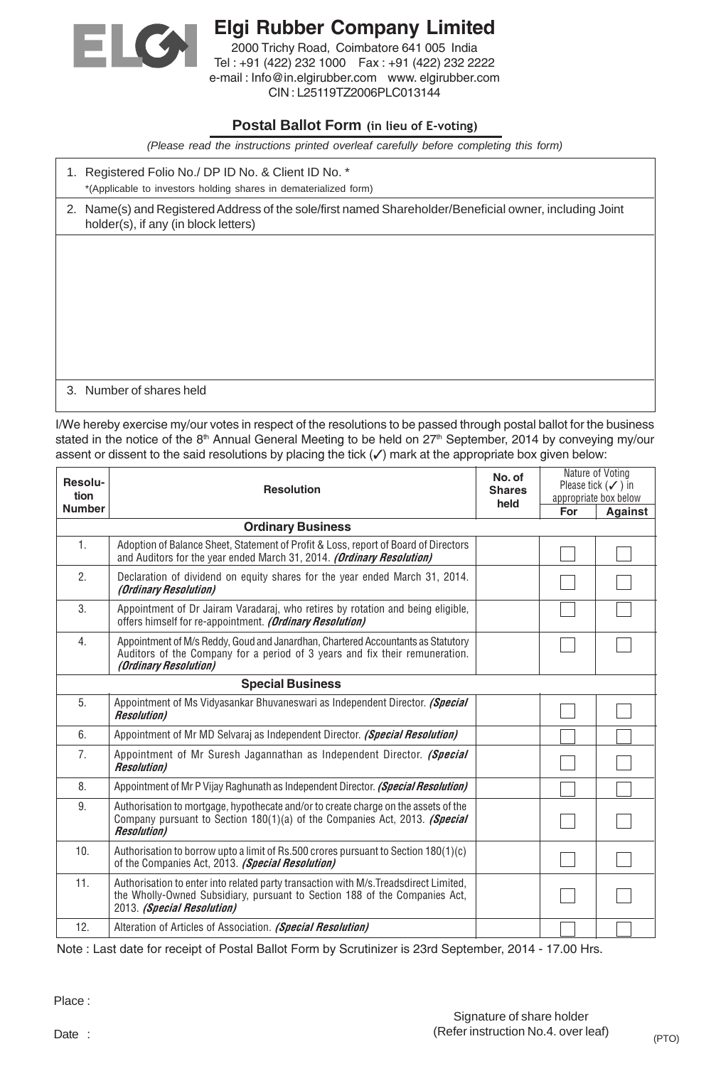

## Elgi Rubber Company Limited 2000 Trichy Road, Coimbatore 641 005 India Tel : +91 (422) 232 1000 Fax : +91 (422) 232 2222 e-mail : Info@in.elgirubber.com www. elgirubber.com

CIN : L25119TZ2006PLC013144

## **Postal Ballot Form** (in lieu of E-voting)

*(Please read the instructions printed overleaf carefully before completing this form)*

1. Registered Folio No./ DP ID No. & Client ID No. \* \*(Applicable to investors holding shares in dematerialized form)

2. Name(s) and Registered Address of the sole/first named Shareholder/Beneficial owner, including Joint holder(s), if any (in block letters)

3. Number of shares held

I/We hereby exercise my/our votes in respect of the resolutions to be passed through postal ballot for the business stated in the notice of the 8<sup>th</sup> Annual General Meeting to be held on 27<sup>th</sup> September, 2014 by conveying my/our assent or dissent to the said resolutions by placing the tick (✓) mark at the appropriate box given below:

| Resolu-<br>tion<br><b>Number</b> | <b>Resolution</b>                                                                                                                                                                                 | No. of<br><b>Shares</b><br>held | Nature of Voting<br>Please tick $(\checkmark)$ in<br>appropriate box below<br>For<br><b>Against</b> |  |
|----------------------------------|---------------------------------------------------------------------------------------------------------------------------------------------------------------------------------------------------|---------------------------------|-----------------------------------------------------------------------------------------------------|--|
| <b>Ordinary Business</b>         |                                                                                                                                                                                                   |                                 |                                                                                                     |  |
| 1.                               | Adoption of Balance Sheet, Statement of Profit & Loss, report of Board of Directors<br>and Auditors for the year ended March 31, 2014. (Ordinary Resolution)                                      |                                 |                                                                                                     |  |
| 2.                               | Declaration of dividend on equity shares for the year ended March 31, 2014.<br>(Ordinary Resolution)                                                                                              |                                 |                                                                                                     |  |
| 3.                               | Appointment of Dr Jairam Varadaraj, who retires by rotation and being eligible,<br>offers himself for re-appointment. (Ordinary Resolution)                                                       |                                 |                                                                                                     |  |
| 4.                               | Appointment of M/s Reddy, Goud and Janardhan, Chartered Accountants as Statutory<br>Auditors of the Company for a period of 3 years and fix their remuneration.<br><i>(Ordinary Resolution)</i>   |                                 |                                                                                                     |  |
| <b>Special Business</b>          |                                                                                                                                                                                                   |                                 |                                                                                                     |  |
| 5.                               | Appointment of Ms Vidyasankar Bhuvaneswari as Independent Director. (Special<br><b>Resolution</b> )                                                                                               |                                 |                                                                                                     |  |
| 6.                               | Appointment of Mr MD Selvaraj as Independent Director. (Special Resolution)                                                                                                                       |                                 |                                                                                                     |  |
| 7.                               | Appointment of Mr Suresh Jagannathan as Independent Director. (Special<br><b>Resolution</b> )                                                                                                     |                                 |                                                                                                     |  |
| 8.                               | Appointment of Mr P Vijay Raghunath as Independent Director. (Special Resolution)                                                                                                                 |                                 |                                                                                                     |  |
| 9.                               | Authorisation to mortgage, hypothecate and/or to create charge on the assets of the<br>Company pursuant to Section 180(1)(a) of the Companies Act, 2013. (Special<br><b>Resolution</b> )          |                                 |                                                                                                     |  |
| 10.                              | Authorisation to borrow upto a limit of Rs.500 crores pursuant to Section 180(1)(c)<br>of the Companies Act, 2013. (Special Resolution)                                                           |                                 |                                                                                                     |  |
| 11.                              | Authorisation to enter into related party transaction with M/s. Treadsdirect Limited,<br>the Wholly-Owned Subsidiary, pursuant to Section 188 of the Companies Act,<br>2013. (Special Resolution) |                                 |                                                                                                     |  |
| 12.                              | Alteration of Articles of Association. (Special Resolution)                                                                                                                                       |                                 |                                                                                                     |  |

Note : Last date for receipt of Postal Ballot Form by Scrutinizer is 23rd September, 2014 - 17.00 Hrs.